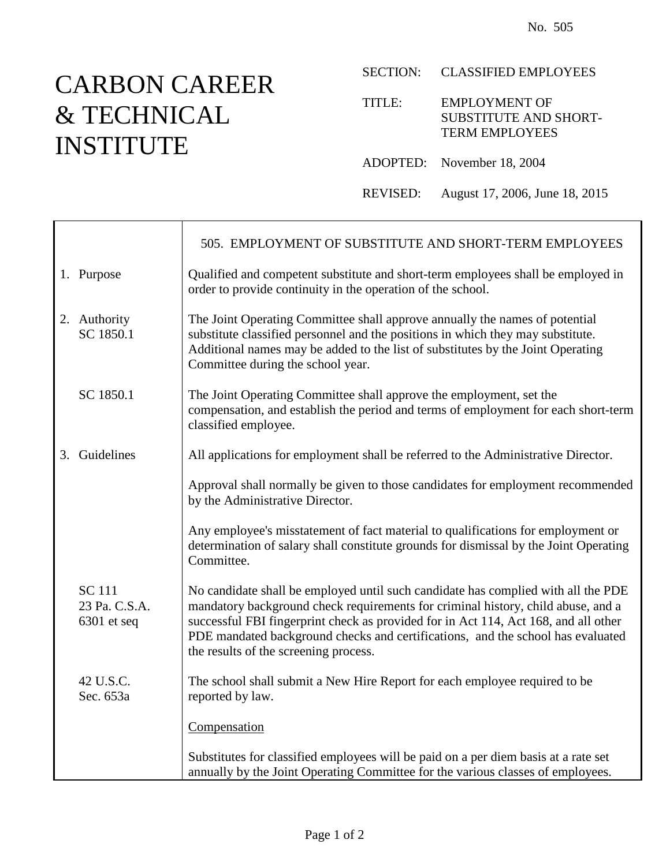## CARBON CAREER & TECHNICAL INSTITUTE

Т

 $\mathbf{r}$ 

## SECTION: CLASSIFIED EMPLOYEES

## TITLE: EMPLOYMENT OF SUBSTITUTE AND SHORT-TERM EMPLOYEES

- ADOPTED: November 18, 2004
- REVISED: August 17, 2006, June 18, 2015

|                                                 | 505. EMPLOYMENT OF SUBSTITUTE AND SHORT-TERM EMPLOYEES                                                                                                                                                                                                                                                                                                                                   |
|-------------------------------------------------|------------------------------------------------------------------------------------------------------------------------------------------------------------------------------------------------------------------------------------------------------------------------------------------------------------------------------------------------------------------------------------------|
| 1. Purpose                                      | Qualified and competent substitute and short-term employees shall be employed in<br>order to provide continuity in the operation of the school.                                                                                                                                                                                                                                          |
| 2. Authority<br>SC 1850.1                       | The Joint Operating Committee shall approve annually the names of potential<br>substitute classified personnel and the positions in which they may substitute.<br>Additional names may be added to the list of substitutes by the Joint Operating<br>Committee during the school year.                                                                                                   |
| SC 1850.1                                       | The Joint Operating Committee shall approve the employment, set the<br>compensation, and establish the period and terms of employment for each short-term<br>classified employee.                                                                                                                                                                                                        |
| 3. Guidelines                                   | All applications for employment shall be referred to the Administrative Director.                                                                                                                                                                                                                                                                                                        |
|                                                 | Approval shall normally be given to those candidates for employment recommended<br>by the Administrative Director.                                                                                                                                                                                                                                                                       |
|                                                 | Any employee's misstatement of fact material to qualifications for employment or<br>determination of salary shall constitute grounds for dismissal by the Joint Operating<br>Committee.                                                                                                                                                                                                  |
| <b>SC</b> 111<br>23 Pa. C.S.A.<br>$6301$ et seq | No candidate shall be employed until such candidate has complied with all the PDE<br>mandatory background check requirements for criminal history, child abuse, and a<br>successful FBI fingerprint check as provided for in Act 114, Act 168, and all other<br>PDE mandated background checks and certifications, and the school has evaluated<br>the results of the screening process. |
| 42 U.S.C.<br>Sec. 653a                          | The school shall submit a New Hire Report for each employee required to be<br>reported by law.                                                                                                                                                                                                                                                                                           |
|                                                 | Compensation                                                                                                                                                                                                                                                                                                                                                                             |
|                                                 | Substitutes for classified employees will be paid on a per diem basis at a rate set<br>annually by the Joint Operating Committee for the various classes of employees.                                                                                                                                                                                                                   |